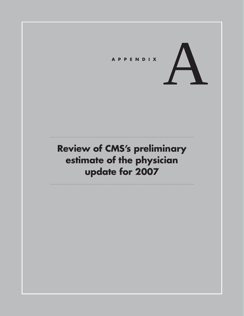

## **Review of CMS's preliminary estimate of the physician update for 2007**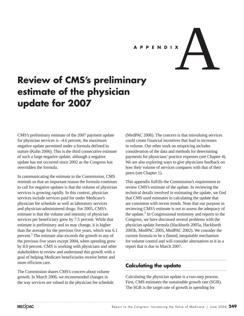

# **Review of CMS's preliminary estimate of the physician update for 2007**

CMS's preliminary estimate of the 2007 payment update for physician services is –4.6 percent, the maximum negative update permitted under a formula defined in statute (Kuhn 2006). This is the third consecutive estimate of such a large negative update, although a negative update has not occurred since 2002 as the Congress has overridden the formula.

In communicating the estimate to the Commission, CMS reminds us that an important reason the formula continues to call for negative updates is that the volume of physician services is growing rapidly. In this context, physician services include services paid for under Medicare's physician fee schedule as well as laboratory services and physician-administered drugs. For 2005, CMS's estimate is that the volume and intensity of physician services per beneficiary grew by 7.5 percent. While that estimate is preliminary and so may change, it is higher than the average for the previous five years, which was 6.1 percent.<sup>1</sup> The estimate also exceeds the growth in any of the previous five years except 2004, when spending grew by 8.0 percent. CMS is working with physicians and other stakeholders to review and understand this growth with a goal of helping Medicare beneficiaries receive better and more efficient care.

The Commission shares CMS's concern about volume growth. In March 2006, we recommended changes in the way services are valued in the physician fee schedule

(MedPAC 2006). The concern is that misvaluing services could create financial incentives that lead to increases in volume. Our other work on mispricing includes consideration of the data and methods for determining payments for physicians' practice expenses (see Chapter 4). We are also exploring ways to give physicians feedback on how their volume of services compares with that of their peers (see Chapter 1).

This appendix fulfills the Commission's requirement to review CMS's estimate of the update. In reviewing the technical details involved in estimating the update, we find that CMS used estimates in calculating the update that are consistent with recent trends. Note that our purpose in reviewing CMS's estimate is not to assess the adequacy of the update.<sup>2</sup> In Congressional testimony and reports to the Congress, we have discussed several problems with the physician update formula (Hackbarth 2005a, Hackbarth 2005b, MedPAC 2005, MedPAC 2002). We consider the current formula to be a flawed, inequitable mechanism for volume control and will consider alternatives to it in a report that is due in March 2007.

#### **Calculating the update**

Calculating the physician update is a two-step process. First, CMS estimates the sustainable growth rate (SGR). The SGR is the target rate of growth in spending for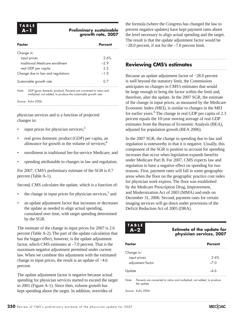#### **Preliminary sustainable growth rate, 2007**

| Factor                            | Percent |
|-----------------------------------|---------|
| Change in:                        |         |
| input prices                      | 2.6%    |
| traditional Medicare enrollment   | $-29$   |
| real GDP per capita               | 22      |
| Change due to law and regulations | $-1.0$  |
| Sustainable growth rate           |         |
|                                   |         |

Note: GDP (gross domestic product). Percents are converted to ratios and multiplied, not added, to produce the sustainable growth rate.

Source: Kuhn 2006.

physician services and is a function of projected changes in:

- input prices for physician services; $3$
- real gross domestic product (GDP) per capita, an allowance for growth in the volume of services; $<sup>4</sup>$ </sup>
- enrollment in traditional fee-for-service Medicare; and
- spending attributable to changes in law and regulation.

For 2007, CMS's preliminary estimate of the SGR is 0.7 percent (Table A-1).

Second, CMS calculates the update, which is a function of:

- the change in input prices for physician services, $5$  and
- an update adjustment factor that increases or decreases the update as needed to align actual spending, cumulated over time, with target spending determined by the SGR.

The estimate of the change in input prices for 2007 is 2.6 percent (Table A-2). The part of the update calculation that has the bigger effect, however, is the update adjustment factor, which CMS estimates at –7.0 percent. That is the maximum negative adjustment permitted under current law. When we combine this adjustment with the estimated change in input prices, the result is an update of −4.6 percent.

The update adjustment factor is negative because actual spending for physician services started to exceed the target in 2001 (Figure A-1). Since then, volume growth has kept spending above the target. In addition, overrides of

the formula (where the Congress has changed the law to prevent negative updates) have kept payment rates above the level necessary to align actual spending and the target. The result is that the update adjustment factor would be −28.0 percent, if not for the –7.0 percent limit.

#### **Reviewing CMS's estimates**

Because an update adjustment factor of −28.0 percent is well beyond the statutory limit, the Commission anticipates no changes in CMS's estimates that would be large enough to bring the factor within the limit and, therefore, alter the update. In the 2007 SGR, the estimate of the change in input prices, as measured by the Medicare Economic Index (MEI), is similar to changes in the MEI for earlier years.<sup>6</sup> The change in real GDP per capita of 2.3 percent equals the 10-year moving average of real GDP estimates from the Bureau of Economic Analysis (BEA),

adjusted for population growth (BEA 2006).

In the 2007 SGR, the change in spending due to law and regulation is noteworthy in that it is negative. Usually, this component of the SGR is positive to account for spending increases that occur when legislation expands benefits under Medicare Part B. For 2007, CMS expects law and regulation to have a negative effect on spending for two reasons. First, payment rates will fall in some geographic areas when the floor on the geographic practice cost index for physician work expires. The floor was established by the Medicare Prescription Drug, Improvement, and Modernization Act of 2003 (MMA) and ends on December 31, 2006. Second, payment rates for certain imaging services will go down under provisions of the Deficit Reduction Act of 2005 (DRA).

**TABLE**

**Estimate of the update for physician services, 2007**

| Factor            | <b>Percent</b> |
|-------------------|----------------|
| Change in:        |                |
| input prices      | 2.6%           |
| adjustment factor | $-7.0$         |
| Update            |                |

Note: Percents are converted to ratios and multiplied, not added, to produce the update.

Source: Kuhn 2006.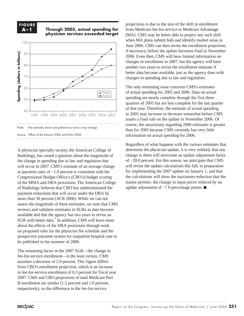### **FIGURE**

#### **A–1 Through 2005, actual spending for physician services exceeded target**



A physician specialty society, the American College of Radiology, has raised a question about the magnitude of the change in spending due to law and regulation that will occur in 2007. CMS's estimate of an average change in payment rates of −1.0 percent is consistent with the Congressional Budget Office's (CBO's) budget scoring of the MMA and DRA provisions. The American College of Radiology believes that CBO has underestimated the payment reductions that will occur under the DRA by more than 50 percent (ACR 2006). While we can not assess the magnitude of these estimates, we note that CMS reviews and validates estimates in SGRs as data become available and that the agency has two years to revise an SGR with better data.<sup>7</sup> In addition, CMS will learn more about the effects of the DRA provisions through work on proposed rules for the physician fee schedule and the prospective payment system for outpatient hospital care to be published in the summer of 2006.

The remaining factor in the 2007 SGR—the change in fee-for-service enrollment—is the least certain. CMS assumes a decrease of 2.9 percent. This figure differs from CBO's enrollment projection, which is an increase in fee-for-service enrollment of 0.3 percent for fiscal year 2007. CMS and CBO projections of total Medicare Part B enrollment are similar (1.5 percent and 1.8 percent, respectively), so the difference in the fee-for-service

projections is due to the size of the shift in enrollment from Medicare fee-for-service to Medicare Advantage (MA). CMS may be better able to project any such shift when MA plans submit bids and identify market areas in June 2006. CMS can then revise the enrollment projection, if necessary, before the update becomes final in November 2006. Even then, CMS will have limited information on changes in enrollment in 2007, but the agency will have another two years to revise the enrollment estimate if better data become available, just as the agency does with changes in spending due to law and regulation.

The only remaining issue concerns CMS's estimates of actual spending for 2005 and 2006. Data on actual spending are nearly complete through the first three quarters of 2005 but are less complete for the last quarter of that year. Therefore, the estimate of actual spending in 2005 may increase or decrease somewhat before CMS issues a final rule on the update in November 2006. Of course, the uncertainty regarding 2006 estimates is greater than for 2005 because CMS currently has very little information on actual spending for 2006.

Regardless of what happens with the various estimates that determine the physician update, it is very unlikely that any change in them will overcome an update adjustment factor of −28.0 percent. For this reason, we anticipate that CMS will revise the update calculations this fall, in preparation for implementing the 2007 update on January 1, and that the calculations will show the maximum reduction that the statute permits: the change in input prices reduced by an update adjustment of -7.0 percentage points. ■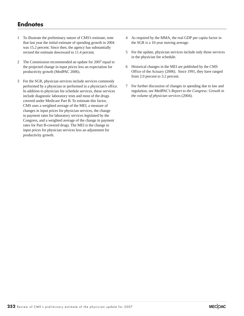### **Endnotes**

- 1 To illustrate the preliminary nature of CMS's estimate, note that last year the initial estimate of spending growth in 2004 was 15.2 percent. Since then, the agency has substantially revised the estimate downward to 11.4 percent.
- 2 The Commission recommended an update for 2007 equal to the projected change in input prices less an expectation for productivity growth (MedPAC 2006).
- 3 For the SGR, physician services include services commonly performed by a physician or performed in a physician's office. In addition to physician fee schedule services, these services include diagnostic laboratory tests and most of the drugs covered under Medicare Part B. To estimate this factor, CMS uses a weighted average of the MEI, a measure of changes in input prices for physician services, the change in payment rates for laboratory services legislated by the Congress, and a weighted average of the change in payment rates for Part B-covered drugs. The MEI is the change in input prices for physician services less an adjustment for productivity growth.
- 4 As required by the MMA, the real GDP per capita factor in the SGR is a 10-year moving average.
- 5 For the update, physician services include only those services in the physician fee schedule.
- 6 Historical changes in the MEI are published by the CMS Office of the Actuary (2006). Since 1991, they have ranged from 2.0 percent to 3.2 percent.
- 7 For further discussion of changes in spending due to law and regulation, see MedPAC's *Report to the Congress: Growth in the volume of physician services* (2004).